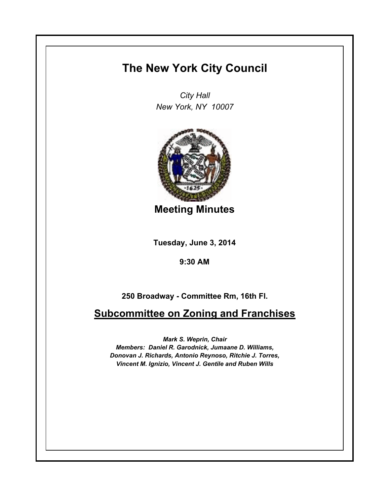## **The New York City Council**

*City Hall New York, NY 10007*



**Meeting Minutes**

**Tuesday, June 3, 2014**

**9:30 AM**

**250 Broadway - Committee Rm, 16th Fl.**

**Subcommittee on Zoning and Franchises**

*Mark S. Weprin, Chair Members: Daniel R. Garodnick, Jumaane D. Williams, Donovan J. Richards, Antonio Reynoso, Ritchie J. Torres, Vincent M. Ignizio, Vincent J. Gentile and Ruben Wills*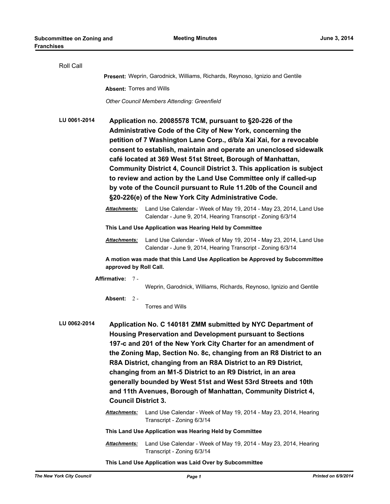| Roll Call                                                                                                                                                                                                                                                                                                                                                                                                                                                                                                                                                                                 |                                                                              |                                                                                                                                                                                                                                                                                                                                                                                                                                                                                                                                                                                                                                                                                                                                                  |  |  |  |
|-------------------------------------------------------------------------------------------------------------------------------------------------------------------------------------------------------------------------------------------------------------------------------------------------------------------------------------------------------------------------------------------------------------------------------------------------------------------------------------------------------------------------------------------------------------------------------------------|------------------------------------------------------------------------------|--------------------------------------------------------------------------------------------------------------------------------------------------------------------------------------------------------------------------------------------------------------------------------------------------------------------------------------------------------------------------------------------------------------------------------------------------------------------------------------------------------------------------------------------------------------------------------------------------------------------------------------------------------------------------------------------------------------------------------------------------|--|--|--|
|                                                                                                                                                                                                                                                                                                                                                                                                                                                                                                                                                                                           | Present: Weprin, Garodnick, Williams, Richards, Reynoso, Ignizio and Gentile |                                                                                                                                                                                                                                                                                                                                                                                                                                                                                                                                                                                                                                                                                                                                                  |  |  |  |
|                                                                                                                                                                                                                                                                                                                                                                                                                                                                                                                                                                                           | <b>Absent: Torres and Wills</b>                                              |                                                                                                                                                                                                                                                                                                                                                                                                                                                                                                                                                                                                                                                                                                                                                  |  |  |  |
|                                                                                                                                                                                                                                                                                                                                                                                                                                                                                                                                                                                           |                                                                              | Other Council Members Attending: Greenfield                                                                                                                                                                                                                                                                                                                                                                                                                                                                                                                                                                                                                                                                                                      |  |  |  |
| LU 0061-2014                                                                                                                                                                                                                                                                                                                                                                                                                                                                                                                                                                              | Attachments:                                                                 | Application no. 20085578 TCM, pursuant to §20-226 of the<br>Administrative Code of the City of New York, concerning the<br>petition of 7 Washington Lane Corp., d/b/a Xai Xai, for a revocable<br>consent to establish, maintain and operate an unenclosed sidewalk<br>café located at 369 West 51st Street, Borough of Manhattan,<br>Community District 4, Council District 3. This application is subject<br>to review and action by the Land Use Committee only if called-up<br>by vote of the Council pursuant to Rule 11.20b of the Council and<br>§20-226(e) of the New York City Administrative Code.<br>Land Use Calendar - Week of May 19, 2014 - May 23, 2014, Land Use<br>Calendar - June 9, 2014, Hearing Transcript - Zoning 6/3/14 |  |  |  |
|                                                                                                                                                                                                                                                                                                                                                                                                                                                                                                                                                                                           | This Land Use Application was Hearing Held by Committee                      |                                                                                                                                                                                                                                                                                                                                                                                                                                                                                                                                                                                                                                                                                                                                                  |  |  |  |
|                                                                                                                                                                                                                                                                                                                                                                                                                                                                                                                                                                                           | Attachments:                                                                 | Land Use Calendar - Week of May 19, 2014 - May 23, 2014, Land Use<br>Calendar - June 9, 2014, Hearing Transcript - Zoning 6/3/14                                                                                                                                                                                                                                                                                                                                                                                                                                                                                                                                                                                                                 |  |  |  |
| A motion was made that this Land Use Application be Approved by Subcommittee<br>approved by Roll Call.                                                                                                                                                                                                                                                                                                                                                                                                                                                                                    |                                                                              |                                                                                                                                                                                                                                                                                                                                                                                                                                                                                                                                                                                                                                                                                                                                                  |  |  |  |
| Affirmative: 7 -                                                                                                                                                                                                                                                                                                                                                                                                                                                                                                                                                                          |                                                                              |                                                                                                                                                                                                                                                                                                                                                                                                                                                                                                                                                                                                                                                                                                                                                  |  |  |  |
|                                                                                                                                                                                                                                                                                                                                                                                                                                                                                                                                                                                           | Absent: $2 -$                                                                | Weprin, Garodnick, Williams, Richards, Reynoso, Ignizio and Gentile<br><b>Torres and Wills</b>                                                                                                                                                                                                                                                                                                                                                                                                                                                                                                                                                                                                                                                   |  |  |  |
| LU 0062-2014<br>Application No. C 140181 ZMM submitted by NYC Department of<br><b>Housing Preservation and Development pursuant to Sections</b><br>197-c and 201 of the New York City Charter for an amendment of<br>the Zoning Map, Section No. 8c, changing from an R8 District to an<br>R8A District, changing from an R8A District to an R9 District,<br>changing from an M1-5 District to an R9 District, in an area<br>generally bounded by West 51st and West 53rd Streets and 10th<br>and 11th Avenues, Borough of Manhattan, Community District 4,<br><b>Council District 3.</b> |                                                                              |                                                                                                                                                                                                                                                                                                                                                                                                                                                                                                                                                                                                                                                                                                                                                  |  |  |  |
|                                                                                                                                                                                                                                                                                                                                                                                                                                                                                                                                                                                           | Attachments:                                                                 | Land Use Calendar - Week of May 19, 2014 - May 23, 2014, Hearing                                                                                                                                                                                                                                                                                                                                                                                                                                                                                                                                                                                                                                                                                 |  |  |  |
|                                                                                                                                                                                                                                                                                                                                                                                                                                                                                                                                                                                           |                                                                              | Transcript - Zoning 6/3/14<br>This Land Use Application was Hearing Held by Committee                                                                                                                                                                                                                                                                                                                                                                                                                                                                                                                                                                                                                                                            |  |  |  |
|                                                                                                                                                                                                                                                                                                                                                                                                                                                                                                                                                                                           | Attachments:                                                                 | Land Use Calendar - Week of May 19, 2014 - May 23, 2014, Hearing<br>Transcript - Zoning 6/3/14                                                                                                                                                                                                                                                                                                                                                                                                                                                                                                                                                                                                                                                   |  |  |  |
|                                                                                                                                                                                                                                                                                                                                                                                                                                                                                                                                                                                           |                                                                              | This Land Use Application was Laid Over by Subcommittee                                                                                                                                                                                                                                                                                                                                                                                                                                                                                                                                                                                                                                                                                          |  |  |  |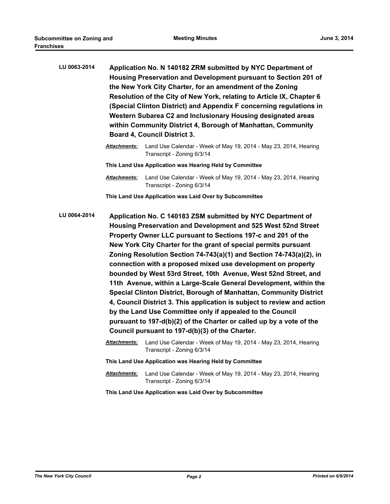| LU 0063-2014 | Application No. N 140182 ZRM submitted by NYC Department of<br>Housing Preservation and Development pursuant to Section 201 of<br>the New York City Charter, for an amendment of the Zoning<br>Resolution of the City of New York, relating to Article IX, Chapter 6<br>(Special Clinton District) and Appendix F concerning regulations in<br>Western Subarea C2 and Inclusionary Housing designated areas<br>within Community District 4, Borough of Manhattan, Community<br><b>Board 4, Council District 3.</b>                                                                                                                                                                                                                                                                                                                                                                      |                                                                                                |  |  |
|--------------|-----------------------------------------------------------------------------------------------------------------------------------------------------------------------------------------------------------------------------------------------------------------------------------------------------------------------------------------------------------------------------------------------------------------------------------------------------------------------------------------------------------------------------------------------------------------------------------------------------------------------------------------------------------------------------------------------------------------------------------------------------------------------------------------------------------------------------------------------------------------------------------------|------------------------------------------------------------------------------------------------|--|--|
|              | <b>Attachments:</b>                                                                                                                                                                                                                                                                                                                                                                                                                                                                                                                                                                                                                                                                                                                                                                                                                                                                     | Land Use Calendar - Week of May 19, 2014 - May 23, 2014, Hearing<br>Transcript - Zoning 6/3/14 |  |  |
|              | This Land Use Application was Hearing Held by Committee                                                                                                                                                                                                                                                                                                                                                                                                                                                                                                                                                                                                                                                                                                                                                                                                                                 |                                                                                                |  |  |
|              | <b>Attachments:</b>                                                                                                                                                                                                                                                                                                                                                                                                                                                                                                                                                                                                                                                                                                                                                                                                                                                                     | Land Use Calendar - Week of May 19, 2014 - May 23, 2014, Hearing<br>Transcript - Zoning 6/3/14 |  |  |
|              | This Land Use Application was Laid Over by Subcommittee                                                                                                                                                                                                                                                                                                                                                                                                                                                                                                                                                                                                                                                                                                                                                                                                                                 |                                                                                                |  |  |
| LU 0064-2014 | Application No. C 140183 ZSM submitted by NYC Department of<br>Housing Preservation and Development and 525 West 52nd Street<br>Property Owner LLC pursuant to Sections 197-c and 201 of the<br>New York City Charter for the grant of special permits pursuant<br>Zoning Resolution Section 74-743(a)(1) and Section 74-743(a)(2), in<br>connection with a proposed mixed use development on property<br>bounded by West 53rd Street, 10th Avenue, West 52nd Street, and<br>11th Avenue, within a Large-Scale General Development, within the<br>Special Clinton District, Borough of Manhattan, Community District<br>4, Council District 3. This application is subject to review and action<br>by the Land Use Committee only if appealed to the Council<br>pursuant to 197-d(b)(2) of the Charter or called up by a vote of the<br>Council pursuant to 197-d(b)(3) of the Charter. |                                                                                                |  |  |
|              | Attachments:                                                                                                                                                                                                                                                                                                                                                                                                                                                                                                                                                                                                                                                                                                                                                                                                                                                                            | Land Use Calendar - Week of May 19, 2014 - May 23, 2014, Hearing<br>Transcript - Zoning 6/3/14 |  |  |
|              | This Land Use Application was Hearing Held by Committee                                                                                                                                                                                                                                                                                                                                                                                                                                                                                                                                                                                                                                                                                                                                                                                                                                 |                                                                                                |  |  |
|              | <b>Attachments:</b>                                                                                                                                                                                                                                                                                                                                                                                                                                                                                                                                                                                                                                                                                                                                                                                                                                                                     | Land Use Calendar - Week of May 19, 2014 - May 23, 2014, Hearing<br>Transcript - Zoning 6/3/14 |  |  |

**This Land Use Application was Laid Over by Subcommittee**